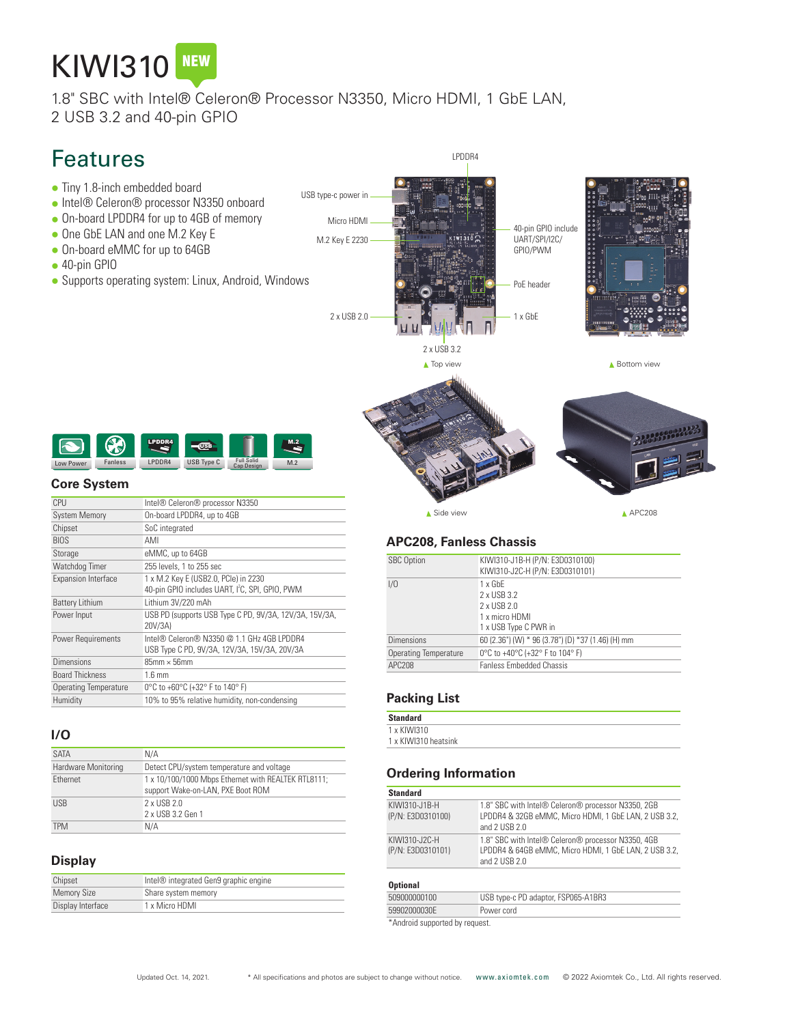# KIWI310

1.8" SBC with Intel® Celeron® Processor N3350, Micro HDMI, 1 GbE LAN, 2 USB 3.2 and 40-pin GPIO

## Features

- Tiny 1.8-inch embedded board
- Intel® Celeron® processor N3350 onboard
- On-board LPDDR4 for up to 4GB of memory
- One GbE LAN and one M.2 Key E ● On-board eMMC for up to 64GB
- 
- $\bullet$  40-pin GPIO
- Supports operating system: Linux, Android, Windows

USB type-c power in Micro HDMI 40-pin GPIO include M.2 Key E 2230  $m\bar{b}$ UART/SPI/I2C/ GPIO/PWM PoE header 2 x USB 2.0 1 x GbE 2 x USB 3.2 ▲ Top view ▲ Bottom view

LPDDR4



#### **Core System**

| CPU                          | Intel® Celeron® processor N3350                                                                     |
|------------------------------|-----------------------------------------------------------------------------------------------------|
| <b>System Memory</b>         | On-board LPDDR4, up to 4GB                                                                          |
| Chipset                      | SoC integrated                                                                                      |
| <b>BIOS</b>                  | AMI                                                                                                 |
| Storage                      | eMMC, up to 64GB                                                                                    |
| Watchdog Timer               | 255 levels, 1 to 255 sec                                                                            |
| <b>Expansion Interface</b>   | 1 x M.2 Key E (USB2.0, PCle) in 2230<br>40-pin GPIO includes UART, I <sup>2</sup> C, SPI, GPIO, PWM |
| <b>Battery Lithium</b>       | Lithium 3V/220 mAh                                                                                  |
| Power Input                  | USB PD (supports USB Type C PD, 9V/3A, 12V/3A, 15V/3A,<br>20V/3A)                                   |
| <b>Power Requirements</b>    | Intel® Celeron® N3350 @ 1.1 GHz 4GB I PDDR4<br>USB Type C PD, 9V/3A, 12V/3A, 15V/3A, 20V/3A         |
| <b>Dimensions</b>            | $85$ mm $\times$ 56mm                                                                               |
| <b>Board Thickness</b>       | $1.6 \text{ mm}$                                                                                    |
| <b>Operating Temperature</b> | 0°C to +60°C (+32° F to 140° F)                                                                     |
| Humidity                     | 10% to 95% relative humidity, non-condensing                                                        |
|                              |                                                                                                     |

#### **I/O**

| <b>SATA</b>         | N/A                                                                                      |
|---------------------|------------------------------------------------------------------------------------------|
| Hardware Monitoring | Detect CPU/system temperature and voltage                                                |
| Ethernet            | 1 x 10/100/1000 Mbps Ethernet with REALTEK RTL8111;<br>support Wake-on-LAN, PXE Boot ROM |
| <b>USB</b>          | 2 x USB 2.0<br>2 x USB 3.2 Gen 1                                                         |
| <b>TPM</b>          | N/A                                                                                      |

#### **Display**

| Chipset            | Intel® integrated Gen9 graphic engine |
|--------------------|---------------------------------------|
| <b>Memory Size</b> | Share system memory                   |
| Display Interface  | 1 x Micro HDMI                        |

▲ Side view APC208

#### **APC208, Fanless Chassis**

| <b>SBC Option</b>            | KIWI310-J1B-H (P/N: E3D0310100)<br>KIWI310-J2C-H (P/N: E3D0310101)                      |
|------------------------------|-----------------------------------------------------------------------------------------|
| 1/0                          | $1 \times$ GbF<br>2 x USB 3.2<br>2 x USB 2.0<br>1 x micro HDMI<br>1 x USB Type C PWR in |
| <b>Dimensions</b>            | 60 (2.36") (W) * 96 (3.78") (D) *37 (1.46) (H) mm                                       |
| <b>Operating Temperature</b> | 0°C to +40°C (+32° F to 104° F)                                                         |
| APC208                       | <b>Fanless Embedded Chassis</b>                                                         |
|                              |                                                                                         |

#### **Packing List**

| <b>Standard</b>      |  |
|----------------------|--|
| 1 x KIWI310          |  |
| 1 x KIWI310 heatsink |  |

#### **Ordering Information**

### **Standard**

| KIWI310-J1B-H<br>(P/N: E3D0310100) | 1.8" SBC with Intel® Celeron® processor N3350, 2GB<br>LPDDR4 & 32GB eMMC, Micro HDMI, 1 GbE LAN, 2 USB 3.2,<br>and $2$ USB $2.0$ |
|------------------------------------|----------------------------------------------------------------------------------------------------------------------------------|
| KIWI310-J2C-H<br>(P/N: E3D0310101) | 1.8" SBC with Intel® Celeron® processor N3350, 4GB<br>LPDDR4 & 64GB eMMC, Micro HDMI, 1 GbE LAN, 2 USB 3.2,<br>and $2$ USB $2.0$ |

#### **Optional**

|                                | 509000000100 | USB type-c PD adaptor, FSP065-A1BR3 |
|--------------------------------|--------------|-------------------------------------|
|                                | 59902000030F | Power cord                          |
| *Android supported by request. |              |                                     |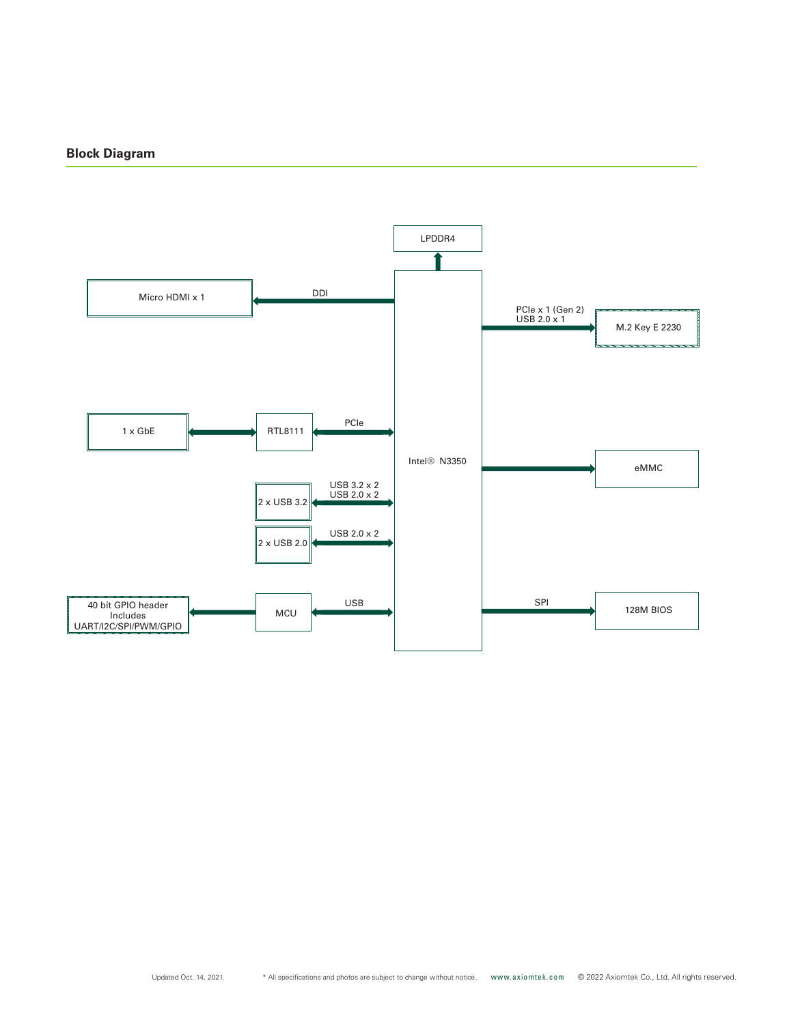#### **Block Diagram**



Updated Oct. 14, 2021.